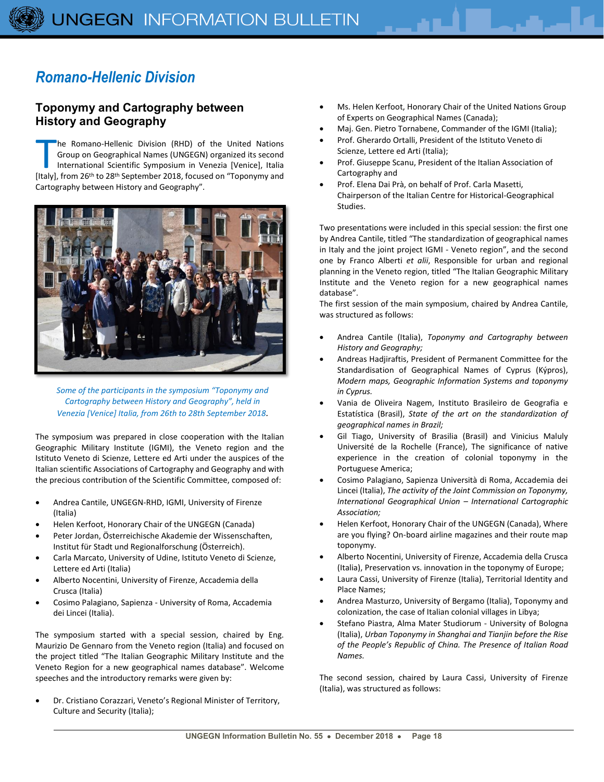## *Romano-Hellenic Division*

## **Toponymy and Cartography between History and Geography**

he Romano-Hellenic Division (RHD) of the United Nations Group on Geographical Names (UNGEGN) organized its second International Scientific Symposium in Venezia [Venice], Italia The Romano-Hellenic Division (RHD) of the United Nations<br>Group on Geographical Names (UNGEGN) organized its second<br>International Scientific Symposium in Venezia [Venice], Italia<br>[Italy], from 26<sup>th</sup> to 28<sup>th</sup> September 201 Cartography between History and Geography".



*Some of the participants in the symposium "Toponymy and Cartography between History and Geography", held in Venezia [Venice] Italia, from 26th to 28th September 2018.*

The symposium was prepared in close cooperation with the Italian Geographic Military Institute (IGMI), the Veneto region and the Istituto Veneto di Scienze, Lettere ed Arti under the auspices of the Italian scientific Associations of Cartography and Geography and with the precious contribution of the Scientific Committee, composed of:

- Andrea Cantile, UNGEGN-RHD, IGMI, University of Firenze (Italia)
- Helen Kerfoot, Honorary Chair of the UNGEGN (Canada)
- Peter Jordan, Österreichische Akademie der Wissenschaften, Institut für Stadt und Regionalforschung (Österreich).
- Carla Marcato, University of Udine, Istituto Veneto di Scienze, Lettere ed Arti (Italia)
- Alberto Nocentini, University of Firenze, Accademia della Crusca (Italia)
- Cosimo Palagiano, Sapienza University of Roma, Accademia dei Lincei (Italia).

The symposium started with a special session, chaired by Eng. Maurizio De Gennaro from the Veneto region (Italia) and focused on the project titled "The Italian Geographic Military Institute and the Veneto Region for a new geographical names database". Welcome speeches and the introductory remarks were given by:

• Dr. Cristiano Corazzari, Veneto's Regional Minister of Territory, Culture and Security (Italia);

- Ms. Helen Kerfoot, Honorary Chair of the United Nations Group of Experts on Geographical Names (Canada);
- Maj. Gen. Pietro Tornabene, Commander of the IGMI (Italia);
- Prof. Gherardo Ortalli, President of the Istituto Veneto di Scienze, Lettere ed Arti (Italia);
- Prof. Giuseppe Scanu, President of the Italian Association of Cartography and
- Prof. Elena Dai Prà, on behalf of Prof. Carla Masetti, Chairperson of the Italian Centre for Historical-Geographical Studies.

Two presentations were included in this special session: the first one by Andrea Cantile, titled "The standardization of geographical names in Italy and the joint project IGMI - Veneto region", and the second one by Franco Alberti *et alii*, Responsible for urban and regional planning in the Veneto region, titled "The Italian Geographic Military Institute and the Veneto region for a new geographical names database".

The first session of the main symposium, chaired by Andrea Cantile, was structured as follows:

- Andrea Cantile (Italia), *Toponymy and Cartography between History and Geography;*
- Andreas Hadjiraftis, President of Permanent Committee for the Standardisation of Geographical Names of Cyprus (Kýpros), *Modern maps, Geographic Information Systems and toponymy in Cyprus.*
- Vania de Oliveira Nagem, Instituto Brasileiro de Geografia e Estatística (Brasil), *State of the art on the standardization of geographical names in Brazil;*
- Gil Tiago, University of Brasilia (Brasil) and Vinicius Maluly Université de la Rochelle (France), The significance of native experience in the creation of colonial toponymy in the Portuguese America;
- Cosimo Palagiano, Sapienza Università di Roma, Accademia dei Lincei (Italia), *The activity of the Joint Commission on Toponymy, International Geographical Union – International Cartographic Association;*
- Helen Kerfoot, Honorary Chair of the UNGEGN (Canada), Where are you flying? On-board airline magazines and their route map toponymy.
- Alberto Nocentini, University of Firenze, Accademia della Crusca (Italia), Preservation vs. innovation in the toponymy of Europe;
- Laura Cassi, University of Firenze (Italia), Territorial Identity and Place Names;
- Andrea Masturzo, University of Bergamo (Italia), Toponymy and colonization, the case of Italian colonial villages in Libya;
- Stefano Piastra, Alma Mater Studiorum University of Bologna (Italia), *Urban Toponymy in Shanghai and Tianjin before the Rise of the People's Republic of China. The Presence of Italian Road Names.*

The second session, chaired by Laura Cassi, University of Firenze (Italia), was structured as follows: